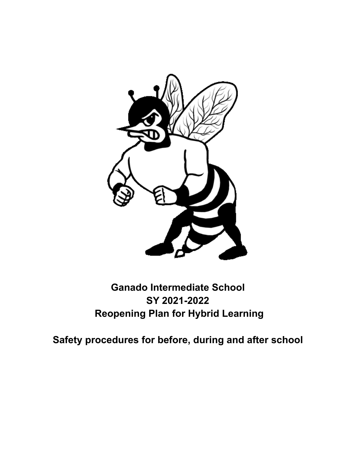

# **Ganado Intermediate School SY 2021-2022 Reopening Plan for Hybrid Learning**

**Safety procedures for before, during and after school**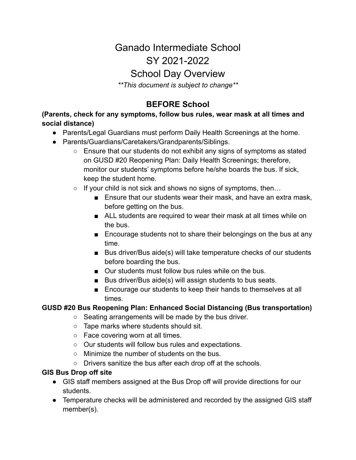# Ganado Intermediate School SY 2021-2022

# School Day Overview

*\*\*This document is subject to change\*\**

# **BEFORE School**

**(Parents, check for any symptoms, follow bus rules, wear mask at all times and social distance)**

- Parents/Legal Guardians must perform Daily Health Screenings at the home.
- Parents/Guardians/Caretakers/Grandparents/Siblings.
	- Ensure that our students do not exhibit any signs of symptoms as stated on GUSD #20 Reopening Plan: Daily Health Screenings; therefore, monitor our students' symptoms before he/she boards the bus. If sick, keep the student home.
	- $\circ$  If your child is not sick and shows no signs of symptoms, then...
		- Ensure that our students wear their mask, and have an extra mask, before getting on the bus.
		- ALL students are required to wear their mask at all times while on the bus.
		- Encourage students not to share their belongings on the bus at any time.
		- Bus driver/Bus aide(s) will take temperature checks of our students before boarding the bus.
		- Our students must follow bus rules while on the bus.
		- Bus driver/Bus aide(s) will assign students to bus seats.
		- Encourage our students to keep their hands to themselves at all times.

#### **GUSD #20 Bus Reopening Plan: Enhanced Social Distancing (Bus transportation)**

- Seating arrangements will be made by the bus driver.
- Tape marks where students should sit.
- Face covering worn at all times.
- Our students will follow bus rules and expectations.
- Minimize the number of students on the bus.
- Drivers sanitize the bus after each drop off at the schools.

#### **GIS Bus Drop off site**

- GIS staff members assigned at the Bus Drop off will provide directions for our students.
- Temperature checks will be administered and recorded by the assigned GIS staff member(s).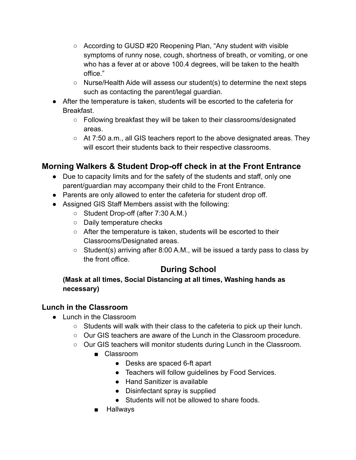- According to GUSD #20 Reopening Plan, "Any student with visible symptoms of runny nose, cough, shortness of breath, or vomiting, or one who has a fever at or above 100.4 degrees, will be taken to the health office."
- Nurse/Health Aide will assess our student(s) to determine the next steps such as contacting the parent/legal guardian.
- After the temperature is taken, students will be escorted to the cafeteria for Breakfast.
	- Following breakfast they will be taken to their classrooms/designated areas.
	- At 7:50 a.m., all GIS teachers report to the above designated areas. They will escort their students back to their respective classrooms.

#### **Morning Walkers & Student Drop-off check in at the Front Entrance**

- Due to capacity limits and for the safety of the students and staff, only one parent/guardian may accompany their child to the Front Entrance.
- Parents are only allowed to enter the cafeteria for student drop off.
- Assigned GIS Staff Members assist with the following:
	- Student Drop-off (after 7:30 A.M.)
	- Daily temperature checks
	- After the temperature is taken, students will be escorted to their Classrooms/Designated areas.
	- Student(s) arriving after 8:00 A.M., will be issued a tardy pass to class by the front office.

#### **During School**

**(Mask at all times, Social Distancing at all times, Washing hands as necessary)**

#### **Lunch in the Classroom**

- Lunch in the Classroom
	- Students will walk with their class to the cafeteria to pick up their lunch.
	- Our GIS teachers are aware of the Lunch in the Classroom procedure.
	- Our GIS teachers will monitor students during Lunch in the Classroom.
		- Classroom
			- Desks are spaced 6-ft apart
			- Teachers will follow guidelines by Food Services.
			- Hand Sanitizer is available
			- Disinfectant spray is supplied
			- Students will not be allowed to share foods.
		- Hallways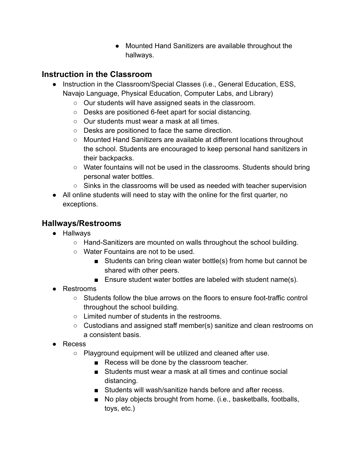● Mounted Hand Sanitizers are available throughout the hallways.

### **Instruction in the Classroom**

- Instruction in the Classroom/Special Classes (i.e., General Education, ESS, Navajo Language, Physical Education, Computer Labs, and Library)
	- Our students will have assigned seats in the classroom.
	- Desks are positioned 6-feet apart for social distancing.
	- Our students must wear a mask at all times.
	- Desks are positioned to face the same direction.
	- Mounted Hand Sanitizers are available at different locations throughout the school. Students are encouraged to keep personal hand sanitizers in their backpacks.
	- Water fountains will not be used in the classrooms. Students should bring personal water bottles.
	- Sinks in the classrooms will be used as needed with teacher supervision
- All online students will need to stay with the online for the first quarter, no exceptions.

## **Hallways/Restrooms**

- Hallways
	- Hand-Sanitizers are mounted on walls throughout the school building.
	- Water Fountains are not to be used.
		- Students can bring clean water bottle(s) from home but cannot be shared with other peers.
		- Ensure student water bottles are labeled with student name(s).
- Restrooms
	- $\circ$  Students follow the blue arrows on the floors to ensure foot-traffic control throughout the school building.
	- Limited number of students in the restrooms.
	- Custodians and assigned staff member(s) sanitize and clean restrooms on a consistent basis.
- Recess
	- Playground equipment will be utilized and cleaned after use.
		- Recess will be done by the classroom teacher.
		- Students must wear a mask at all times and continue social distancing.
		- Students will wash/sanitize hands before and after recess.
		- No play objects brought from home. (i.e., basketballs, footballs, toys, etc.)